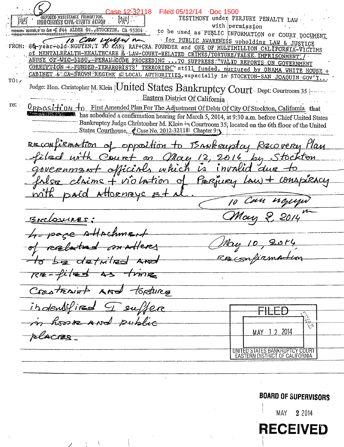Case 12-32118 Filed 05/12/14 Doc 1500 **E ASSISTANCE FOUNDATION.** TESTIMONY under PERJURY PENALTY LAW **INDO CHINESH CIVIL RIQUITS ACTION** with permission FOUNDER: NGUYER, F'TO CAN \*E #44 ALDER St., STOCKTON, CA 95204. to be used as PUBLIC INFORMATION or COURT DOCUMENT FROM: 84-year-old NGUYEN, I TO CAN, RAFICRA FOUNDER and ONE OF MULTIMILLION CALIFORNIA-VICTIMS Of MENTALHEALTH-HEALTHCARE & LAW-COURT-RELATED CRIMES/TORTURE/FALSE IMPRISONMENT ABUSE OF WIC-5150, PENAL CODE PROCEEDING ... TO SUPPRESS: "VALID REPORTS ON GOVERNMENT CORRUPTION + FUNDED-TERRRORISTS' TERRORISM" still funded, nurtured by OBAMA WHITE HOUSE CABINET & CA-BROWN REGIME & LOCAL AUTHORITIES, especially in STOCKTON-SAN JOAQUIN GOV'T.  $TO:$ Judge: Hon. Christopher M. Klein | United States Bankruptcy Court Dept: Courtroom 35 Eastern District Of California  $re:$ First Amended Plan For The Adjustment Of Debts Of City Of Stockton, California that <u> Opposition</u> to has scheduled a confirmation hearing for March 5, 2014, at 9:30 a.m. before Chief United States Bankruptcy Judge Christopher M. Klein in Courtroom 35, located on the 6th floor of the United States Courthouse, Case No. 2012-32118| Chapter 9| of opposition to BANKemptay Han RECONLIRENTION <u>Kecovere</u> ourt on May 12, 2014 <u>Stockton</u> officials which invalio GOVERNME COMApiracy PERruey - violation ാ പ <u>ttornes</u> BACLOUIRES: Attrahmy  $d$ 2tm $l$ 120  $R$ re –  $t$ Constraint toretures  $AMV$ indentif home And public ستيتو<br>د کړ MAY 12 2014 rlacres UNITED STATES BANKRUPTCY COURT<br>EASTERN DISTRICT OF CALIFORNIA

## **BOARD OF SUPERVISORS**

MAY 2 2 0 14

**RECEIVED** 

 $\chi$  and  $\chi$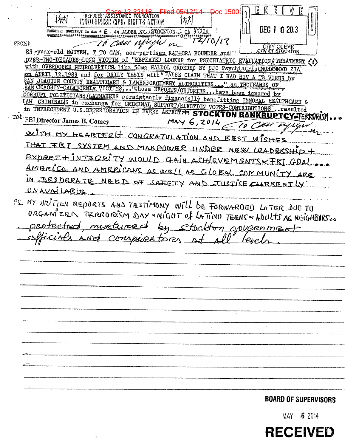1500 REFUGEE ASSISTANCE FUUNDATION INDO CHINESE CIVIL (RIGHTS ACTION DEC 1 0 2013 FOUNDER: NGUYEN, T TO CAN \* E . 44 ALDER ST. STOCKTON, CA 95204 \*\*\*\*\*\*\*\*\*\*\*\*\*\*\* TO Can Mi TZ/10/17 : FROM:  $\mu$ CITY CLERK 83 - year-old NGUYEN, T TO CAN, non-partisan RAF+CRA FOUNDER and OVER-TWO-DECADES-LONG VICTIM Of "REPEATED LOCKUP for PSYCHIATRIC EVALUATION TREATMENT (1) with OVERDOSED NEUROLEPTICS, like 50mg HALDOL ORDERED BY SJC PsychiatristMUHAMMAD ZIA on APRIL 12.1989 and for DAILY TESTS with FALSE CLAIM THAT I HAD HIV & TB VIRUS by SAN JOAOUIN COUNTY HEALTHCARE & LAWENFORCEMENT AUTHORITIES. " as THOUSANDS OF SAN JOAOUIN-CALIFORNIA, VICTIMS... whose REPORTS/OUTCRIES... have been ignored by . CORRUPT POLITICIANS/LAWMAKERS persistently financially benefitting IMMORAL HEALTHCARE & LAW CRIMINALS in exchange for CRIMINAL SUPPORT/ELECTION VOTES-CONTRIBUTIONS'. resulted in UNPRECEDENT U.S.DETERIORATION IN EVERY ASPECT. F. STOCKTON BANKR TO\* FBI Director James B. Comey  $May 6,2014$ WITH MY HEARTFELT CONGRATULATION AND BEST WISHES THAT FRI SYSTEM AND MANPOWER UNDER NEW LEADERSH EXPERT + INTEGRITY WOULD GAIN ACHIEVEMENTS X FRI GOA <u>AMBRICA AND AMERICANS AS WELL AS GLOBAL COMMUNITY ARE</u> IN DESPERATE NEED OF SAFETY AND JUSTICE CLURRENTLY UNAVNILABIR PS MY WRITTEN REPORTS AND TESTIMONY WILL BE FORWARDED LATER DUE TO ORGAM<sup>2</sup>ZEL TERRORISM DAY «NIGHT Of LATINO TEENS « ADULTS AS NEIGHBIRS... protected murtured by stockton government conspirator **BOARD OF SUPERVISORS**  $MAY = 62014$ 

**RECEIVED**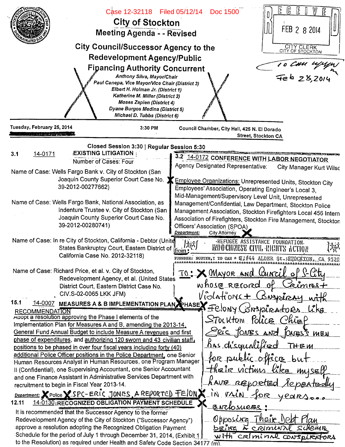| Ľ<br>E<br>(ြ<br>Case 12-32118 Filed 05/12/14<br>Doc 1500<br><b>City of Stockton</b><br>FEB 2 8 2014<br>Meeting Agenda - - Revised<br><b>City Council/Successor Agency to the</b><br>CITY CLERK<br>CITY OF STOCKTON<br><b>Redevelopment Agency/Public</b><br>To CHU 4/4/1<br><b>Figancing Authority Concurrent</b><br>Anthony Silva, Mayor/Chair<br>Paul Canepa, Vice Mayor/Vice Chair (District 3)<br>Elbert H. Holman Jr. (District 1)<br>Katherine M. Miller (District 2)<br><b>Moses Zapien (District 4)</b><br>Dyane Burgos Medina (District 5)<br>Michael D. Tubbs (District 6) |                                                                                                                                                                                                                                                                                                                                                                                                                                                                                                                                                                                                                                                                                                                                                                                                                                                                                                                                                                                                                                                                                                                                       |                                                                                                                                                                                                                                                                                                                                                                                                                                                                                                                                                                                                              |
|--------------------------------------------------------------------------------------------------------------------------------------------------------------------------------------------------------------------------------------------------------------------------------------------------------------------------------------------------------------------------------------------------------------------------------------------------------------------------------------------------------------------------------------------------------------------------------------|---------------------------------------------------------------------------------------------------------------------------------------------------------------------------------------------------------------------------------------------------------------------------------------------------------------------------------------------------------------------------------------------------------------------------------------------------------------------------------------------------------------------------------------------------------------------------------------------------------------------------------------------------------------------------------------------------------------------------------------------------------------------------------------------------------------------------------------------------------------------------------------------------------------------------------------------------------------------------------------------------------------------------------------------------------------------------------------------------------------------------------------|--------------------------------------------------------------------------------------------------------------------------------------------------------------------------------------------------------------------------------------------------------------------------------------------------------------------------------------------------------------------------------------------------------------------------------------------------------------------------------------------------------------------------------------------------------------------------------------------------------------|
| Tuesday, February 25, 2014<br>and the response of the state of the state of the                                                                                                                                                                                                                                                                                                                                                                                                                                                                                                      | 3:30 PM                                                                                                                                                                                                                                                                                                                                                                                                                                                                                                                                                                                                                                                                                                                                                                                                                                                                                                                                                                                                                                                                                                                               | Council Chamber, City Hall, 425 N. El Dorado<br><b>Street, Stockton CA</b>                                                                                                                                                                                                                                                                                                                                                                                                                                                                                                                                   |
| 14-0171<br>3.1                                                                                                                                                                                                                                                                                                                                                                                                                                                                                                                                                                       | Closed Session 3:30   Regular Session 5:30<br><b>EXISTING LITIGATION</b><br>Number of Cases: Four<br>Name of Case: Wells Fargo Bank v. City of Stockton (San<br>Joaquin County Superior Court Case No.<br>39-2012-00277662)<br>Name of Case: Wells Fargo Bank, National Association, as<br>Indenture Trustee v. City of Stockton (San<br>Joaquin County Superior Court Case No.<br>39-2012-00280741)<br>Name of Case: In re City of Stockton, California - Debtor (Unite                                                                                                                                                                                                                                                                                                                                                                                                                                                                                                                                                                                                                                                              | 3.2 14-0172 CONFERENCE WITH LABOR NEGOTIATOR<br>Agency Designated Representative:<br><b>City Manager Kurt Wilsc</b><br>Employee Organizations: Unrepresented Units, Stockton City<br>Employees' Association, Operating Engineer's Local 3,<br>Mid-Management/Supervisory Level Unit, Unrepresented<br>Management/Confidential, Law Department, Stockton Police<br>Management Association, Stockton Firefighters Local 456 Intern<br>Association of Firefighters, Stockton Fire Management, Stockton<br>Officers' Association (SPOA)<br>Department:<br><b>City Attorney</b><br>REFUGEE ASSISTANCE FOUNDATION. |
| 15.1                                                                                                                                                                                                                                                                                                                                                                                                                                                                                                                                                                                 | States Bankruptcy Court, Eastern District of<br>California Case No. 2012-32118)<br>Name of Case: Richard Price, et al. v. City of Stockton,<br>Redevelopment Agency, et al. (United States<br>District Court, Eastern District Case No.<br>CIV.S-02-0065 LKK JFM)                                                                                                                                                                                                                                                                                                                                                                                                                                                                                                                                                                                                                                                                                                                                                                                                                                                                     | <b>INDOCHINESE CIVIL RIGHTS ACTION</b><br>from<br>FOUNDER: NGUYEN, T TO CAN * E ##44 ALDER St.JSTOCKTON, CA 9520<br><u>IO: X MAYOR and Council of</u><br>whose record of<br><u>æimres+</u><br>Violations + Conspire<br>14-0007 MEASURES A & BIMPLEMENTATION PLAN EHASEY FELONY CON3/2IRA-toRA                                                                                                                                                                                                                                                                                                                |
| <b>RECOMMENDATION</b><br>recruitment to begin in Fiscal Year 2013-14.<br>12.11                                                                                                                                                                                                                                                                                                                                                                                                                                                                                                       | Adopt a resolution approving the Phase I elements of the<br>Implementation Plan for Measures A and B, amending the 2013-14,<br>General Fund Annual Budget to include Measure A revenues and first<br>phase of expenditures, and authorizing 120 sworn and 43 civilian staff.<br>positions to be phased in over four fiscal years including forty (40)<br>additional Police Officer positions in the Police Department, one Senior<br>Human Resources Analyst in Human Resources, one Program Manager<br>Il (Confidential), one Supervising Accountant, one Senior Accountant<br>and one Finance Assistant in Administrative Services Department with<br>Department: X Police X SPC-ERIC JONES, A REPORTED FEION X<br>14-0130 RECOGNIZED OBLIGATION PAYMENT SCHEDULE<br>It is recommended that the Successor Agency to the former<br>Redevelopment Agency of the City of Stockton ("Successor Agency")<br>approve a resolution adopting the Recognized Obligation Payment<br>Schedule for the period of July 1 through December 31, 2014, (Exhibit 1<br>to the Resolution) as required under Health and Safety Code Section 34177 (m). | <b>UCKR</b><br>Stockton Police Chiep<br>Seic JONES AND JONES'S MEN<br><u>Kas</u> d'squalified<br>THEM<br>for public office but<br>their victions like myself<br>LAUR RELORTED<br><u>Aepentedu</u><br>in rain for year<br>BNCLOSURES<br>Their No<br>Opposing<br><u>being &amp; criminal</u> scheme<br>with criminal conspi                                                                                                                                                                                                                                                                                    |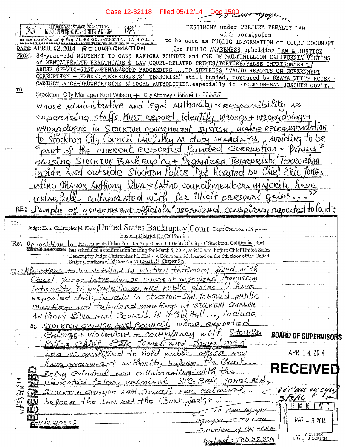Case 12-32118 Filed 05/12/14 nyyyn REFUGED ASSISTANCE FOUNDATION.<br>INVIOCUINESE CIVIL RIGHTS ACTION TESTIMONY under PERJURY PENALTY LAW. with permission TOUNDER: NOUTEN, T'TO CAN \*E #44 ALDER St., STOCKTON, CA 95204 to be used as PUBLIC INFORMATION or COURT DOCUMENT DATE: APRIL 12, 2014 RECONFIRMATION . for PUBLIC AWARENESS upholding LAW & JUSTICE FROM: 84-year-old NGUYEN, T TO CAN, RAF+CRA FOUNDER and ONE OF MULTIMILLION CALIFORNIA-VICTIMS Of MENTALHEALTH-HEALTHCARE & LAW-COURT-RELATED CRIMES/TORTURE/FALSE IMPRISONMENT. ABUSE OF WIC-5150, PENAL CODE PROCEEDING ... TO SUPPRESS "VALID REPORTS ON GOVERNMENT CORRUPTION + FUNDED TERRRORISTS' TERRORISM" still funded, nurtured by OBAMA WHITE HOUSE CABINET & CA-BROWN REGIME & LOCAL AUTHORITIES, especially in STOCKTON-SAN JOAQUIN GOV'T TO: Stockton City Manager Kurt Wilson. + City Attorney, John M. Luebberke whose administrative and legal authority - responsibility as supervising strffs MUST report, identily wrongs + wrongdoings + wrong doers in STOCKTON government system, make recommendation City Council LAW fully As duty mandates Anridina Stockton part of the current reported funded  $C$ ORRUDTION  $\approx$ CAUSING STOCKTON BANK RUptCy + Organized Terrorists ICRRORISM rde Stockton Police by Chie nside and out Tones headno Latino Mayor Anthony Silva « Latino councilmembers majorita for illicit personne collaborated with RE: Sample of government officials organized conspiracy reported to livert:  $TO:$ Judge: Hon. Christopher M. Klein | United States Bankruptcy Court Dept: Courtroom 35 |-Eastern District Of California OPPOSI-t'0M +0 First Amended Plan For The Adjustment Of Debts Of City Of Stockton, California that  $Re.$ has scheduled a confirmation hearing for March 5, 2014, at 9:30 a.m. before Chief United States Bankruptcy Judge Christopher M. Klein in Courtroom 35, located on the 6th floor of the United States Courthouse, & Case No. 2012-321181 Chapter 91 Justifications to be detailed in written testimumy. due to current organized terrorism  $q_{\mu\nu}$ dar *latrer*  $places$   $l$  have intensity in private forme and public REPORTED drily in vain in stockton-St.N. Tonquil public mizetings and talevized meetings of STOCKTON ONNYOR. Anthony Silva and Council in Saty Hall..., include 1. <u>STOCKTON MAYOR AND Council</u> whose reported Crimes+ violations + conspiracy Stockton **BOARD OF SUPERVISORS**  $f$ onnis <u>'men</u> Police Chief Epic TONES And ARE disquirlified to Rold public APR 1 4 2014 office have government suthority babore This Cou RECEIVER Being Criminal and collaborating with the SPC- Eric TONES Etal <u>Réjortien le lour crémini</u>l I clau u TON COORWOK AND COUNTIL coimin  $APZ$ before the Law and the Court Judge MAR - 3 2014 <u>lo sure</u>s : Founder **CITY CLERK**<br>ITY OF STOCKTON Dated: Feb 28 2014